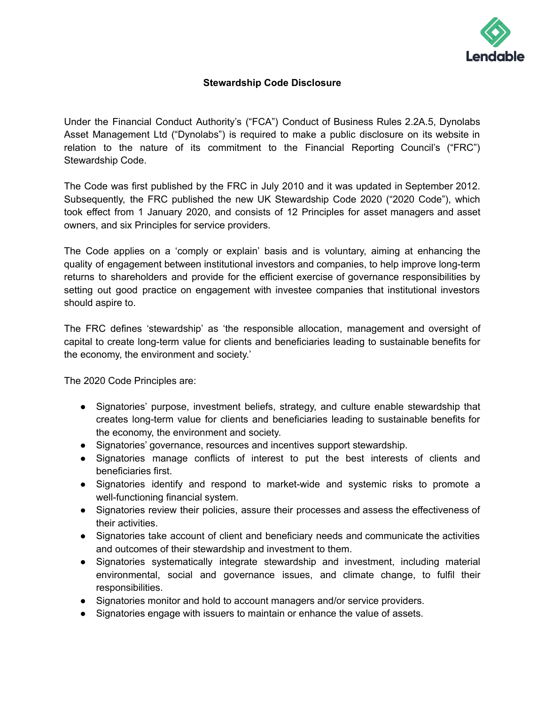

## **Stewardship Code Disclosure**

Under the Financial Conduct Authority's ("FCA") Conduct of Business Rules 2.2A.5, Dynolabs Asset Management Ltd ("Dynolabs") is required to make a public disclosure on its website in relation to the nature of its commitment to the Financial Reporting Council's ("FRC") Stewardship Code.

The Code was first published by the FRC in July 2010 and it was updated in September 2012. Subsequently, the FRC published the new UK Stewardship Code 2020 ("2020 Code"), which took effect from 1 January 2020, and consists of 12 Principles for asset managers and asset owners, and six Principles for service providers.

The Code applies on a 'comply or explain' basis and is voluntary, aiming at enhancing the quality of engagement between institutional investors and companies, to help improve long-term returns to shareholders and provide for the efficient exercise of governance responsibilities by setting out good practice on engagement with investee companies that institutional investors should aspire to.

The FRC defines 'stewardship' as 'the responsible allocation, management and oversight of capital to create long-term value for clients and beneficiaries leading to sustainable benefits for the economy, the environment and society.'

The 2020 Code Principles are:

- Signatories' purpose, investment beliefs, strategy, and culture enable stewardship that creates long-term value for clients and beneficiaries leading to sustainable benefits for the economy, the environment and society.
- Signatories' governance, resources and incentives support stewardship.
- Signatories manage conflicts of interest to put the best interests of clients and beneficiaries first.
- Signatories identify and respond to market-wide and systemic risks to promote a well-functioning financial system.
- Signatories review their policies, assure their processes and assess the effectiveness of their activities.
- Signatories take account of client and beneficiary needs and communicate the activities and outcomes of their stewardship and investment to them.
- Signatories systematically integrate stewardship and investment, including material environmental, social and governance issues, and climate change, to fulfil their responsibilities.
- Signatories monitor and hold to account managers and/or service providers.
- Signatories engage with issuers to maintain or enhance the value of assets.